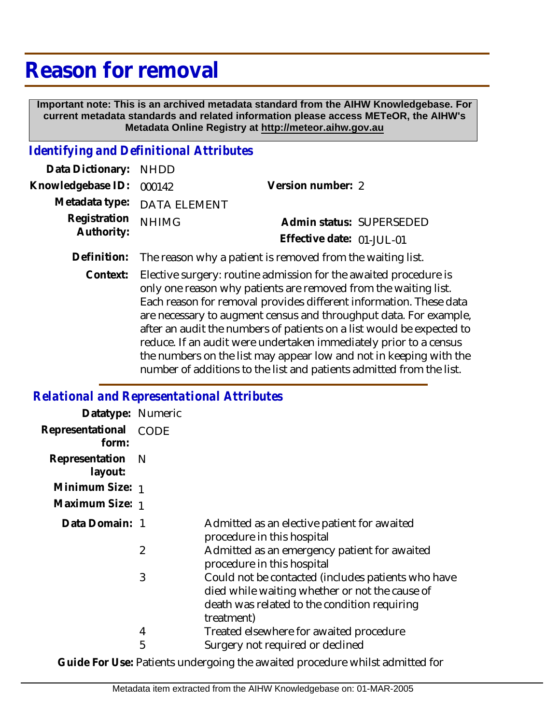## **Reason for removal**

 **Important note: This is an archived metadata standard from the AIHW Knowledgebase. For current metadata standards and related information please access METeOR, the AIHW's Metadata Online Registry at http://meteor.aihw.gov.au**

## *Identifying and Definitional Attributes*

| Data Dictionary: NHDD            |                                                                        |                           |                          |
|----------------------------------|------------------------------------------------------------------------|---------------------------|--------------------------|
| Knowledgebase ID: 000142         |                                                                        | Version number: 2         |                          |
|                                  | Metadata type: DATA ELEMENT                                            |                           |                          |
| Registration NHIMG<br>Authority: |                                                                        |                           | Admin status: SUPERSEDED |
|                                  |                                                                        | Effective date: 01-JUL-01 |                          |
|                                  | Definition: The reason why a patient is removed from the waiting list. |                           |                          |

Context: Elective surgery: routine admission for the awaited procedure is only one reason why patients are removed from the waiting list. Each reason for removal provides different information. These data are necessary to augment census and throughput data. For example, after an audit the numbers of patients on a list would be expected to reduce. If an audit were undertaken immediately prior to a census the numbers on the list may appear low and not in keeping with the number of additions to the list and patients admitted from the list.

## *Relational and Representational Attributes*

| Datatype: Numeric              |     |                                                                                                                                                                    |
|--------------------------------|-----|--------------------------------------------------------------------------------------------------------------------------------------------------------------------|
| Representational CODE<br>form: |     |                                                                                                                                                                    |
| Representation<br>layout:      | - N |                                                                                                                                                                    |
| Minimum Size: 1                |     |                                                                                                                                                                    |
| Maximum Size: 1                |     |                                                                                                                                                                    |
| Data Domain: 1                 |     | Admitted as an elective patient for awaited<br>procedure in this hospital                                                                                          |
|                                | 2   | Admitted as an emergency patient for awaited<br>procedure in this hospital                                                                                         |
|                                | 3   | Could not be contacted (includes patients who have<br>died while waiting whether or not the cause of<br>death was related to the condition requiring<br>treatment) |
|                                | 4   | Treated elsewhere for awaited procedure                                                                                                                            |
|                                | 5   | Surgery not required or declined                                                                                                                                   |

**Guide For Use:** Patients undergoing the awaited procedure whilst admitted for